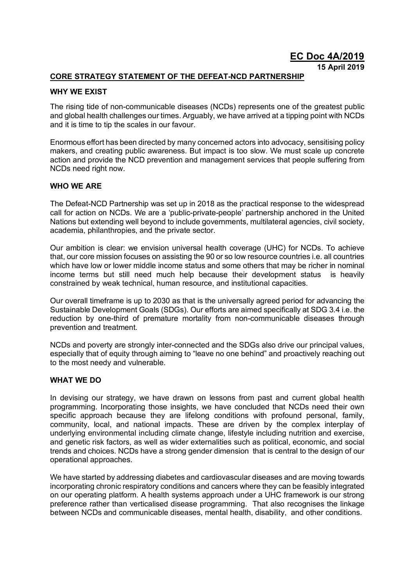**EC Doc 4A/2019**

**15 April 2019**

# **CORE STRATEGY STATEMENT OF THE DEFEAT-NCD PARTNERSHIP**

## **WHY WE EXIST**

The rising tide of non-communicable diseases (NCDs) represents one of the greatest public and global health challenges our times. Arguably, we have arrived at a tipping point with NCDs and it is time to tip the scales in our favour.

Enormous effort has been directed by many concerned actors into advocacy, sensitising policy makers, and creating public awareness. But impact is too slow. We must scale up concrete action and provide the NCD prevention and management services that people suffering from NCDs need right now.

### **WHO WE ARE**

The Defeat-NCD Partnership was set up in 2018 as the practical response to the widespread call for action on NCDs. We are a 'public-private-people' partnership anchored in the United Nations but extending well beyond to include governments, multilateral agencies, civil society, academia, philanthropies, and the private sector.

Our ambition is clear: we envision universal health coverage (UHC) for NCDs. To achieve that, our core mission focuses on assisting the 90 or so low resource countries i.e. all countries which have low or lower middle income status and some others that may be richer in nominal income terms but still need much help because their development status is heavily constrained by weak technical, human resource, and institutional capacities.

Our overall timeframe is up to 2030 as that is the universally agreed period for advancing the Sustainable Development Goals (SDGs). Our efforts are aimed specifically at SDG 3.4 i.e. the reduction by one-third of premature mortality from non-communicable diseases through prevention and treatment.

NCDs and poverty are strongly inter-connected and the SDGs also drive our principal values, especially that of equity through aiming to "leave no one behind" and proactively reaching out to the most needy and vulnerable.

### **WHAT WE DO**

In devising our strategy, we have drawn on lessons from past and current global health programming. Incorporating those insights, we have concluded that NCDs need their own specific approach because they are lifelong conditions with profound personal, family, community, local, and national impacts. These are driven by the complex interplay of underlying environmental including climate change, lifestyle including nutrition and exercise, and genetic risk factors, as well as wider externalities such as political, economic, and social trends and choices. NCDs have a strong gender dimension that is central to the design of our operational approaches.

We have started by addressing diabetes and cardiovascular diseases and are moving towards incorporating chronic respiratory conditions and cancers where they can be feasibly integrated on our operating platform. A health systems approach under a UHC framework is our strong preference rather than verticalised disease programming. That also recognises the linkage between NCDs and communicable diseases, mental health, disability, and other conditions.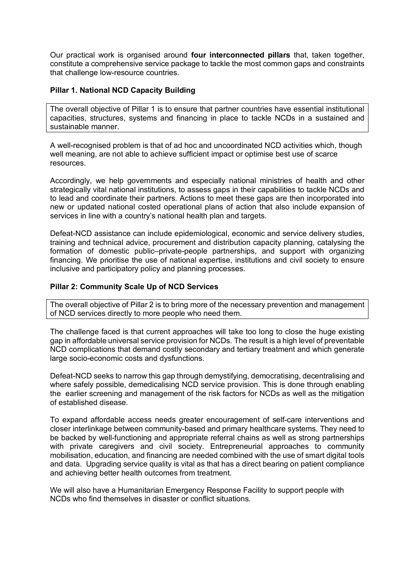Our practical work is organised around **four interconnected pillars** that, taken together, constitute a comprehensive service package to tackle the most common gaps and constraints that challenge low-resource countries.

## **Pillar 1. National NCD Capacity Building**

The overall objective of Pillar 1 is to ensure that partner countries have essential institutional capacities, structures, systems and financing in place to tackle NCDs in a sustained and sustainable manner.

A well-recognised problem is that of ad hoc and uncoordinated NCD activities which, though well meaning, are not able to achieve sufficient impact or optimise best use of scarce resources.

Accordingly, we help governments and especially national ministries of health and other strategically vital national institutions, to assess gaps in their capabilities to tackle NCDs and to lead and coordinate their partners. Actions to meet these gaps are then incorporated into new or updated national costed operational plans of action that also include expansion of services in line with a country's national health plan and targets.

Defeat-NCD assistance can include epidemiological, economic and service delivery studies, training and technical advice, procurement and distribution capacity planning, catalysing the formation of domestic public–private-people partnerships, and support with organizing financing. We prioritise the use of national expertise, institutions and civil society to ensure inclusive and participatory policy and planning processes.

### **Pillar 2: Community Scale Up of NCD Services**

The overall objective of Pillar 2 is to bring more of the necessary prevention and management of NCD services directly to more people who need them.

The challenge faced is that current approaches will take too long to close the huge existing gap in affordable universal service provision for NCDs. The result is a high level of preventable NCD complications that demand costly secondary and tertiary treatment and which generate large socio-economic costs and dysfunctions.

Defeat-NCD seeks to narrow this gap through demystifying, democratising, decentralising and where safely possible, demedicalising NCD service provision. This is done through enabling the earlier screening and management of the risk factors for NCDs as well as the mitigation of established disease.

To expand affordable access needs greater encouragement of self-care interventions and closer interlinkage between community-based and primary healthcare systems. They need to be backed by well-functioning and appropriate referral chains as well as strong partnerships with private caregivers and civil society. Entrepreneurial approaches to community mobilisation, education, and financing are needed combined with the use of smart digital tools and data. Upgrading service quality is vital as that has a direct bearing on patient compliance and achieving better health outcomes from treatment.

We will also have a Humanitarian Emergency Response Facility to support people with NCDs who find themselves in disaster or conflict situations.